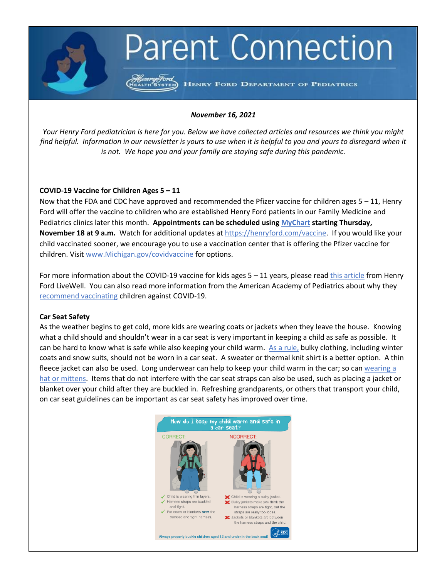# **Parent Connection**

Henry Ford<br>HEALTH SYSTEM) HENRY FORD DEPARTMENT OF PEDIATRICS

# *November 16, 2021*

*Your Henry Ford pediatrician is here for you. Below we have collected articles and resources we think you might find helpful. Information in our newsletter is yours to use when it is helpful to you and yours to disregard when it is not. We hope you and your family are staying safe during this pandemic.*

# **COVID-19 Vaccine for Children Ages 5 – 11**

Now that the FDA and CDC have approved and recommended the Pfizer vaccine for children ages  $5 - 11$ , Henry Ford will offer the vaccine to children who are established Henry Ford patients in our Family Medicine and Pediatrics clinics later this month. **Appointments can be scheduled using [MyChart](https://mychart.hfhs.org/mychart/Authentication/Login?) starting Thursday, November 18 at 9 a.m.** Watch for additional updates at [https://henryford.com/vaccine.](https://urldefense.com/v3/__https:/henryford.com/vaccine__;!!PFzsKvxRBh-H!IQ5px6MBvd1F1QAR41vRzDQZBbxgBcY0t9gxPUEz8-xczAsdOVtmra2HZYdG2QTX$) If you would like your child vaccinated sooner, we encourage you to use a vaccination center that is offering the Pfizer vaccine for children. Visi[t www.Michigan.gov/covidvaccine](https://urldefense.com/v3/__http:/www.michigan.gov/covidvaccine__;!!PFzsKvxRBh-H!IQ5px6MBvd1F1QAR41vRzDQZBbxgBcY0t9gxPUEz8-xczAsdOVtmra2HZXkcEm2r$) for options.

For more information about the COVID-19 vaccine for kids ages  $5 - 11$  years, please rea[d this article](https://www.henryford.com/blog/2021/11/kids-5-to-11-covid-vaccine) from Henry Ford LiveWell. You can also read more information from the American Academy of Pediatrics about why they [recommend vaccinating](https://healthychildren.org/English/tips-tools/ask-the-pediatrician/Pages/when-can-children-get-the-COVID-19-vaccine.aspx) children against COVID-19.

# **Car Seat Safety**

As the weather begins to get cold, more kids are wearing coats or jackets when they leave the house. Knowing what a child should and shouldn't wear in a car seat is very important in keeping a child as safe as possible. It can be hard to know what is safe while also keeping your child warm. [As a rule,](https://www.healthychildren.org/English/safety-prevention/on-the-go/Pages/Winter-Car-Seat-Safety-Tips.aspx#:~:text=Dress%20your%20child%20in%20thin%20layers.&text=Your%20child%20can%20wear%20a,need%20a%20coat%2C%20and%20blanket.) bulky clothing, including winter coats and snow suits, should not be worn in a car seat. A sweater or thermal knit shirt is a better option. A thin fleece jacket can also be used. Long underwear can help to keep your child warm in the car; so can [wearing a](https://www.consumerreports.org/car-seats/the-dangers-of-winter-coats-and-car-seats-a5483582251/)  [hat or mittens.](https://www.consumerreports.org/car-seats/the-dangers-of-winter-coats-and-car-seats-a5483582251/) Items that do not interfere with the car seat straps can also be used, such as placing a jacket or blanket over your child after they are buckled in. Refreshing grandparents, or others that transport your child, on car seat guidelines can be important as car seat safety has improved over time.

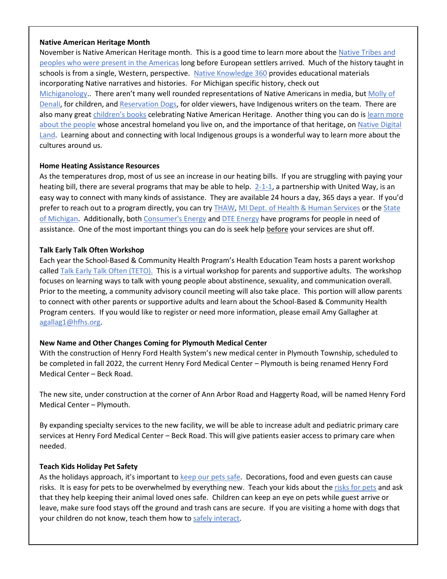### **Native American Heritage Month**

November is Native American Heritage month. This is a good time to learn more about the [Native Tribes and](https://www.deadlystory.com/page/culture/articles/World_s_Indigenous_Peoples_Day/Turtle_Island)  [peoples who were present in the Americas](https://www.deadlystory.com/page/culture/articles/World_s_Indigenous_Peoples_Day/Turtle_Island) long before European settlers arrived. Much of the history taught in schools is from a single, Western, perspective. [Native Knowledge 360](https://americanindian.si.edu/nk360) provides educational materials incorporating Native narratives and histories. For Michigan specific history, check out [Michiganology.](https://michiganology.org/stories/the-indigenous-people-in-michigan/). There aren't many well rounded representations of Native Americans in media, but Molly of [Denali,](https://fm.kuac.org/arts-culture/2019-01-18/native-writers-craft-molly-of-denali-kids-tv-character) for children, and [Reservation Dogs,](https://www.npr.org/2021/08/13/1027317320/why-reservations-dogs-is-so-important-for-indigenous-representation) for older viewers, have Indigenous writers on the team. There are also many great [children's books](https://www.instagram.com/reel/CV-qedujEYQ/?utm_medium=share_sheet) celebrating Native American Heritage. Another thing you can do is learn more [about the people](https://native-land.ca/about/why-it-matters/) whose ancestral homeland you live on, and the importance of that heritage, on [Native Digital](https://native-land.ca/about/why-it-matters/)  [Land.](https://native-land.ca/about/why-it-matters/) Learning about and connecting with local Indigenous groups is a wonderful way to learn more about the cultures around us.

# **Home Heating Assistance Resources**

As the temperatures drop, most of us see an increase in our heating bills. If you are struggling with paying your heating bill, there are several programs that may be able to help. [2-1-1,](https://www.mi211.org/) a partnership with United Way, is an easy way to connect with many kinds of assistance. They are available 24 hours a day, 365 days a year. If you'd prefer to reach out to a program directly, you can try [THAW,](https://thawfund.org/assistance/) [MI Dept. of Health & Human Services](https://www.michigan.gov/mdhhs/0,5885,7-339-73970_5461---,00.html) or th[e State](https://www.michigan.gov/mdhhs/0,5885,7-339-71547_5531-15420--,00.html)  [of Michigan.](https://www.michigan.gov/mdhhs/0,5885,7-339-71547_5531-15420--,00.html) Additionally, both [Consumer's Energy](https://www.consumersenergy.com/residential/programs-and-services/payment-assistance) and [DTE Energy](https://newlook.dteenergy.com/wps/wcm/connect/dte-web/home/billing-and-payments/common/energy-assistance/low-income-programs#:~:text=The%20Heat%20and%20Warmth%20Fund%20provides%20energy%20assistance%20and%20other,GAP)%20and%20other%20THAW%20Programs.) have programs for people in need of assistance. One of the most important things you can do is seek help before your services are shut off.

#### **Talk Early Talk Often Workshop**

Each year the School-Based & Community Health Program's Health Education Team hosts a parent workshop called [Talk Early Talk](file://///corp/hfhs/home/ofp/s/skendzi1/TETO/TETO_Flyer_Nov_18_2021.docx) Often (TETO). This is a virtual workshop for parents and supportive adults. The workshop focuses on learning ways to talk with young people about abstinence, sexuality, and communication overall. Prior to the meeting, a community advisory council meeting will also take place. This portion will allow parents to connect with other parents or supportive adults and learn about the School-Based & Community Health Program centers. If you would like to register or need more information, please email Amy Gallagher at [agallag1@hfhs.org.](mailto:agallag1@hfhs.org)

# **New Name and Other Changes Coming for Plymouth Medical Center**

With the construction of Henry Ford Health System's new medical center in Plymouth Township, scheduled to be completed in fall 2022, the current Henry Ford Medical Center – Plymouth is being renamed Henry Ford Medical Center – Beck Road. 

The new site, under construction at the corner of Ann Arbor Road and Haggerty Road, will be named Henry Ford Medical Center – Plymouth.

By expanding specialty services to the new facility, we will be able to increase adult and pediatric primary care services at Henry Ford Medical Center – Beck Road. This will give patients easier access to primary care when needed.

#### **Teach Kids Holiday Pet Safety**

As the holidays approach, it's important to keep our [pets safe.](https://www.avma.org/resources/pet-owners/petcare/7-ways-make-holidays-safer-pets#:~:text=Make%20sure%20your%20pet%20doesn,out%20of%20reach%20of%20pets) Decorations, food and even guests can cause risks. It is easy for pets to be overwhelmed by everything new. Teach your kids about the [risks for pets](https://www.aspca.org/pet-care/general-pet-care/holiday-safety-tips) and ask that they help keeping their animal loved ones safe. Children can keep an eye on pets while guest arrive or leave, make sure food stays off the ground and trash cans are secure. If you are visiting a home with dogs that your children do not know, teach them how to [safely interact.](http://www.vetstreet.com/our-pet-experts/holiday-tips-help-kids-and-pets-play-together-safely)